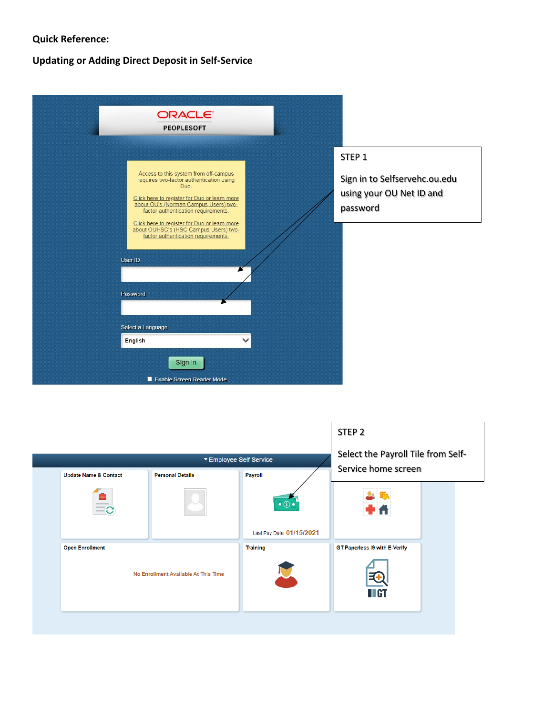## **Quick Reference:**

## **Updating or Adding Direct Deposit in Self-Service**

| ORACLE <sup>®</sup><br><b>PEOPLESOFT</b>                                                                                                                                                                                                                                                                                                                                                                                |                                                                                            |
|-------------------------------------------------------------------------------------------------------------------------------------------------------------------------------------------------------------------------------------------------------------------------------------------------------------------------------------------------------------------------------------------------------------------------|--------------------------------------------------------------------------------------------|
| Access to this system from off-campus<br>requires two-factor authentication using<br>Duo.<br>Click here to register for Duo or learn more<br>about OU's (Norman Campus Users) two-<br>factor authentication requirements.<br>Click here to register for Duo or learn more<br>about OUHSC's (HSC Campus Users) two-<br>factor authentication requirements.<br>User ID<br>Password<br>Select a Language<br><b>English</b> | STEP <sub>1</sub><br>Sign in to Selfservehc.ou.edu<br>using your OU Net ID and<br>password |
| Sign In<br>Enable Screen Reader Mode                                                                                                                                                                                                                                                                                                                                                                                    |                                                                                            |

|                                                                | STEP <sub>2</sub><br>Select the Payroll Tile from Self- |                                                                 |                                        |  |
|----------------------------------------------------------------|---------------------------------------------------------|-----------------------------------------------------------------|----------------------------------------|--|
| <b>Update Name &amp; Contact</b><br>÷o-<br>C                   | <b>Personal Details</b>                                 | <b>Payroll</b><br>$\bullet$ $\circ$<br>Last Pay Date 01/15/2021 | Service home screen                    |  |
| <b>Open Enrollment</b><br>No Enrollment Available At This Time |                                                         | <b>Training</b>                                                 | GT Paperless I9 with E-Verify<br>II GT |  |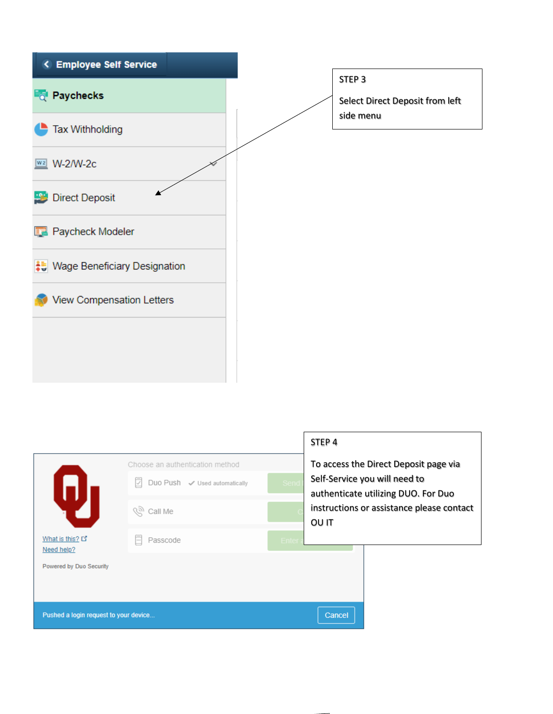

instructions or assistance please contact OU IT

Cancel

Pushed a login request to your device..

What is this? 다

Powered by Duo Security

Need help?

*(हो*) Call Me

**同** Passcode